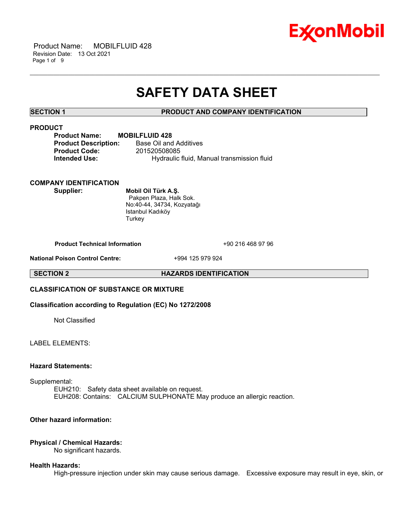

 Product Name: MOBILFLUID 428 Revision Date: 13 Oct 2021 Page 1 of 9

# **SAFETY DATA SHEET**

\_\_\_\_\_\_\_\_\_\_\_\_\_\_\_\_\_\_\_\_\_\_\_\_\_\_\_\_\_\_\_\_\_\_\_\_\_\_\_\_\_\_\_\_\_\_\_\_\_\_\_\_\_\_\_\_\_\_\_\_\_\_\_\_\_\_\_\_\_\_\_\_\_\_\_\_\_\_\_\_\_\_\_\_\_\_\_\_\_\_\_\_\_\_\_\_\_\_\_\_\_\_\_\_\_\_\_\_\_\_\_\_\_\_\_\_\_\_

# **SECTION 1 PRODUCT AND COMPANY IDENTIFICATION**

# **PRODUCT**

| <b>Product Name:</b>        | MО |
|-----------------------------|----|
| <b>Product Description:</b> |    |
| <b>Product Code:</b>        |    |
| <b>Intended Use:</b>        |    |

**Product Name: MOBILFLUID 428 Base Oil and Additives Product Code:** 201520508085 **Intended Use:** Hydraulic fluid, Manual transmission fluid

# **COMPANY IDENTIFICATION**

**Supplier: Mobil Oil Türk A.Ş.** Pakpen Plaza, Halk Sok. No:40-44, 34734, Kozyatağı Istanbul Kadıköy **Turkey** 

**Product Technical Information** +90 216 468 97 96

**National Poison Control Centre:** +994 125 979 924

**SECTION 2 HAZARDS IDENTIFICATION**

# **CLASSIFICATION OF SUBSTANCE OR MIXTURE**

# **Classification according to Regulation (EC) No 1272/2008**

Not Classified

LABEL ELEMENTS:

# **Hazard Statements:**

Supplemental:

EUH210: Safety data sheet available on request. EUH208: Contains: CALCIUM SULPHONATE May produce an allergic reaction.

### **Other hazard information:**

# **Physical / Chemical Hazards:**

No significant hazards.

#### **Health Hazards:**

High-pressure injection under skin may cause serious damage. Excessive exposure may result in eye, skin, or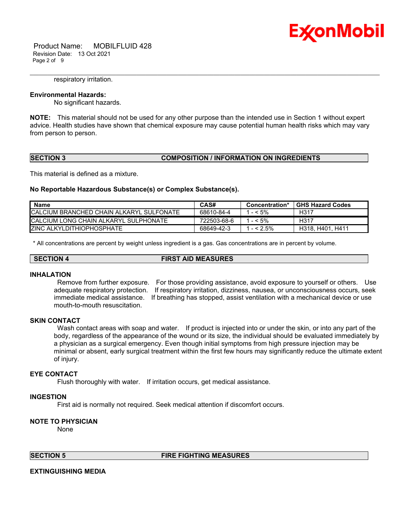

 Product Name: MOBILFLUID 428 Revision Date: 13 Oct 2021 Page 2 of 9

#### respiratory irritation.

### **Environmental Hazards:**

No significant hazards.

**NOTE:** This material should not be used for any other purpose than the intended use in Section 1 without expert advice. Health studies have shown that chemical exposure may cause potential human health risks which may vary from person to person.

\_\_\_\_\_\_\_\_\_\_\_\_\_\_\_\_\_\_\_\_\_\_\_\_\_\_\_\_\_\_\_\_\_\_\_\_\_\_\_\_\_\_\_\_\_\_\_\_\_\_\_\_\_\_\_\_\_\_\_\_\_\_\_\_\_\_\_\_\_\_\_\_\_\_\_\_\_\_\_\_\_\_\_\_\_\_\_\_\_\_\_\_\_\_\_\_\_\_\_\_\_\_\_\_\_\_\_\_\_\_\_\_\_\_\_\_\_\_

# **SECTION 3 COMPOSITION / INFORMATION ON INGREDIENTS**

This material is defined as a mixture.

#### **No Reportable Hazardous Substance(s) or Complex Substance(s).**

| <b>Name</b>                                      | CAS#        | Concentration* | <b>GHS Hazard Codes</b> |
|--------------------------------------------------|-------------|----------------|-------------------------|
| <b>ICALCIUM BRANCHED CHAIN ALKARYL SULFONATE</b> | 68610-84-4  | $- < 5\%$      | H317                    |
| ICALCIUM LONG CHAIN ALKARYL SULPHONATE           | 722503-68-6 | $- < 5\%$      | H317                    |
| <b>IZINC ALKYLDITHIOPHOSPHATE</b>                | 68649-42-3  | $- < 2.5\%$    | H318. H401. H411        |

\* All concentrations are percent by weight unless ingredient is a gas. Gas concentrations are in percent by volume.

#### **SECTION 4 FIRST AID MEASURES**

#### **INHALATION**

Remove from further exposure. For those providing assistance, avoid exposure to yourself or others. Use adequate respiratory protection. If respiratory irritation, dizziness, nausea, or unconsciousness occurs, seek immediate medical assistance. If breathing has stopped, assist ventilation with a mechanical device or use mouth-to-mouth resuscitation.

# **SKIN CONTACT**

Wash contact areas with soap and water. If product is injected into or under the skin, or into any part of the body, regardless of the appearance of the wound or its size, the individual should be evaluated immediately by a physician as a surgical emergency. Even though initial symptoms from high pressure injection may be minimal or absent, early surgical treatment within the first few hours may significantly reduce the ultimate extent of injury.

### **EYE CONTACT**

Flush thoroughly with water. If irritation occurs, get medical assistance.

#### **INGESTION**

First aid is normally not required. Seek medical attention if discomfort occurs.

#### **NOTE TO PHYSICIAN**

None

#### **SECTION 5 FIRE FIGHTING MEASURES**

# **EXTINGUISHING MEDIA**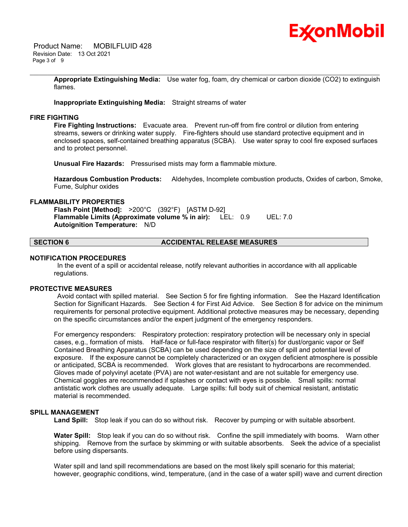

 Product Name: MOBILFLUID 428 Revision Date: 13 Oct 2021 Page 3 of 9

> **Appropriate Extinguishing Media:** Use water fog, foam, dry chemical or carbon dioxide (CO2) to extinguish flames.

\_\_\_\_\_\_\_\_\_\_\_\_\_\_\_\_\_\_\_\_\_\_\_\_\_\_\_\_\_\_\_\_\_\_\_\_\_\_\_\_\_\_\_\_\_\_\_\_\_\_\_\_\_\_\_\_\_\_\_\_\_\_\_\_\_\_\_\_\_\_\_\_\_\_\_\_\_\_\_\_\_\_\_\_\_\_\_\_\_\_\_\_\_\_\_\_\_\_\_\_\_\_\_\_\_\_\_\_\_\_\_\_\_\_\_\_\_\_

**Inappropriate Extinguishing Media:** Straight streams of water

### **FIRE FIGHTING**

**Fire Fighting Instructions:** Evacuate area. Prevent run-off from fire control or dilution from entering streams, sewers or drinking water supply. Fire-fighters should use standard protective equipment and in enclosed spaces, self-contained breathing apparatus (SCBA). Use water spray to cool fire exposed surfaces and to protect personnel.

**Unusual Fire Hazards:** Pressurised mists may form a flammable mixture.

**Hazardous Combustion Products:** Aldehydes, Incomplete combustion products, Oxides of carbon, Smoke, Fume, Sulphur oxides

# **FLAMMABILITY PROPERTIES**

**Flash Point [Method]:** >200°C (392°F) [ASTM D-92] **Flammable Limits (Approximate volume % in air):** LEL: 0.9 UEL: 7.0 **Autoignition Temperature:** N/D

# **SECTION 6 ACCIDENTAL RELEASE MEASURES**

#### **NOTIFICATION PROCEDURES**

In the event of a spill or accidental release, notify relevant authorities in accordance with all applicable regulations.

#### **PROTECTIVE MEASURES**

Avoid contact with spilled material. See Section 5 for fire fighting information. See the Hazard Identification Section for Significant Hazards. See Section 4 for First Aid Advice. See Section 8 for advice on the minimum requirements for personal protective equipment. Additional protective measures may be necessary, depending on the specific circumstances and/or the expert judgment of the emergency responders.

For emergency responders: Respiratory protection: respiratory protection will be necessary only in special cases, e.g., formation of mists. Half-face or full-face respirator with filter(s) for dust/organic vapor or Self Contained Breathing Apparatus (SCBA) can be used depending on the size of spill and potential level of exposure. If the exposure cannot be completely characterized or an oxygen deficient atmosphere is possible or anticipated, SCBA is recommended. Work gloves that are resistant to hydrocarbons are recommended. Gloves made of polyvinyl acetate (PVA) are not water-resistant and are not suitable for emergency use. Chemical goggles are recommended if splashes or contact with eyes is possible. Small spills: normal antistatic work clothes are usually adequate. Large spills: full body suit of chemical resistant, antistatic material is recommended.

# **SPILL MANAGEMENT**

**Land Spill:** Stop leak if you can do so without risk. Recover by pumping or with suitable absorbent.

**Water Spill:** Stop leak if you can do so without risk. Confine the spill immediately with booms. Warn other shipping. Remove from the surface by skimming or with suitable absorbents. Seek the advice of a specialist before using dispersants.

Water spill and land spill recommendations are based on the most likely spill scenario for this material; however, geographic conditions, wind, temperature, (and in the case of a water spill) wave and current direction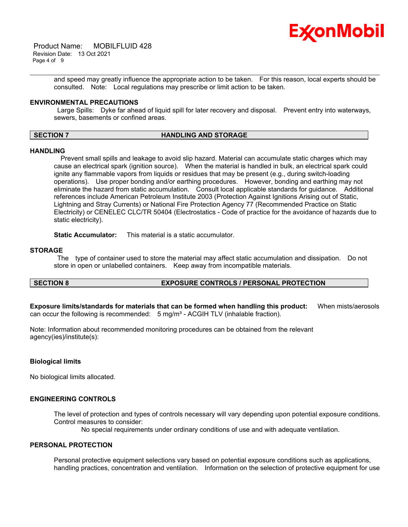

 Product Name: MOBILFLUID 428 Revision Date: 13 Oct 2021 Page 4 of 9

> and speed may greatly influence the appropriate action to be taken. For this reason, local experts should be consulted. Note: Local regulations may prescribe or limit action to be taken.

\_\_\_\_\_\_\_\_\_\_\_\_\_\_\_\_\_\_\_\_\_\_\_\_\_\_\_\_\_\_\_\_\_\_\_\_\_\_\_\_\_\_\_\_\_\_\_\_\_\_\_\_\_\_\_\_\_\_\_\_\_\_\_\_\_\_\_\_\_\_\_\_\_\_\_\_\_\_\_\_\_\_\_\_\_\_\_\_\_\_\_\_\_\_\_\_\_\_\_\_\_\_\_\_\_\_\_\_\_\_\_\_\_\_\_\_\_\_

# **ENVIRONMENTAL PRECAUTIONS**

Large Spills: Dyke far ahead of liquid spill for later recovery and disposal. Prevent entry into waterways, sewers, basements or confined areas.

# **SECTION 7 HANDLING AND STORAGE**

#### **HANDLING**

 Prevent small spills and leakage to avoid slip hazard. Material can accumulate static charges which may cause an electrical spark (ignition source). When the material is handled in bulk, an electrical spark could ignite any flammable vapors from liquids or residues that may be present (e.g., during switch-loading operations). Use proper bonding and/or earthing procedures. However, bonding and earthing may not eliminate the hazard from static accumulation. Consult local applicable standards for guidance. Additional references include American Petroleum Institute 2003 (Protection Against Ignitions Arising out of Static, Lightning and Stray Currents) or National Fire Protection Agency 77 (Recommended Practice on Static Electricity) or CENELEC CLC/TR 50404 (Electrostatics - Code of practice for the avoidance of hazards due to static electricity).

**Static Accumulator:** This material is a static accumulator.

#### **STORAGE**

The type of container used to store the material may affect static accumulation and dissipation. Do not store in open or unlabelled containers. Keep away from incompatible materials.

# **SECTION 8 EXPOSURE CONTROLS / PERSONAL PROTECTION**

**Exposure limits/standards for materials that can be formed when handling this product:** When mists/aerosols can occur the following is recommended:  $5 \text{ mg/m}^3$  - ACGIH TLV (inhalable fraction).

Note: Information about recommended monitoring procedures can be obtained from the relevant agency(ies)/institute(s):

### **Biological limits**

No biological limits allocated.

### **ENGINEERING CONTROLS**

The level of protection and types of controls necessary will vary depending upon potential exposure conditions. Control measures to consider:

No special requirements under ordinary conditions of use and with adequate ventilation.

### **PERSONAL PROTECTION**

Personal protective equipment selections vary based on potential exposure conditions such as applications, handling practices, concentration and ventilation. Information on the selection of protective equipment for use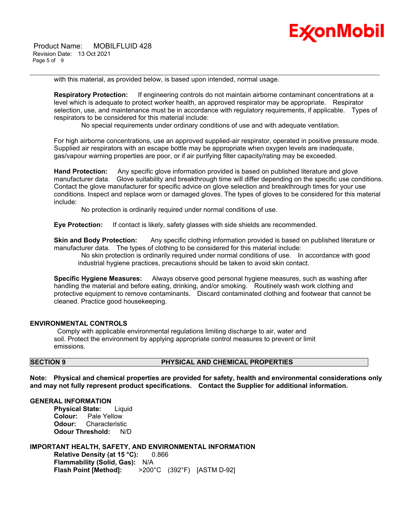

with this material, as provided below, is based upon intended, normal usage.

**Respiratory Protection:** If engineering controls do not maintain airborne contaminant concentrations at a level which is adequate to protect worker health, an approved respirator may be appropriate. Respirator selection, use, and maintenance must be in accordance with regulatory requirements, if applicable. Types of respirators to be considered for this material include:

No special requirements under ordinary conditions of use and with adequate ventilation.

\_\_\_\_\_\_\_\_\_\_\_\_\_\_\_\_\_\_\_\_\_\_\_\_\_\_\_\_\_\_\_\_\_\_\_\_\_\_\_\_\_\_\_\_\_\_\_\_\_\_\_\_\_\_\_\_\_\_\_\_\_\_\_\_\_\_\_\_\_\_\_\_\_\_\_\_\_\_\_\_\_\_\_\_\_\_\_\_\_\_\_\_\_\_\_\_\_\_\_\_\_\_\_\_\_\_\_\_\_\_\_\_\_\_\_\_\_\_

For high airborne concentrations, use an approved supplied-air respirator, operated in positive pressure mode. Supplied air respirators with an escape bottle may be appropriate when oxygen levels are inadequate, gas/vapour warning properties are poor, or if air purifying filter capacity/rating may be exceeded.

**Hand Protection:** Any specific glove information provided is based on published literature and glove manufacturer data. Glove suitability and breakthrough time will differ depending on the specific use conditions. Contact the glove manufacturer for specific advice on glove selection and breakthrough times for your use conditions. Inspect and replace worn or damaged gloves. The types of gloves to be considered for this material include:

No protection is ordinarily required under normal conditions of use.

**Eye Protection:** If contact is likely, safety glasses with side shields are recommended.

**Skin and Body Protection:** Any specific clothing information provided is based on published literature or manufacturer data. The types of clothing to be considered for this material include:

No skin protection is ordinarily required under normal conditions of use. In accordance with good industrial hygiene practices, precautions should be taken to avoid skin contact.

**Specific Hygiene Measures:** Always observe good personal hygiene measures, such as washing after handling the material and before eating, drinking, and/or smoking. Routinely wash work clothing and protective equipment to remove contaminants. Discard contaminated clothing and footwear that cannot be cleaned. Practice good housekeeping.

#### **ENVIRONMENTAL CONTROLS**

Comply with applicable environmental regulations limiting discharge to air, water and soil. Protect the environment by applying appropriate control measures to prevent or limit emissions.

# **SECTION 9 PHYSICAL AND CHEMICAL PROPERTIES**

**Note: Physical and chemical properties are provided for safety, health and environmental considerations only and may not fully represent product specifications. Contact the Supplier for additional information.**

#### **GENERAL INFORMATION**

**Physical State:** Liquid **Colour:** Pale Yellow **Odour:** Characteristic **Odour Threshold:** N/D

# **IMPORTANT HEALTH, SAFETY, AND ENVIRONMENTAL INFORMATION**

**Relative Density (at 15 °C):** 0.866 **Flammability (Solid, Gas):** N/A **Flash Point [Method]:** >200°C (392°F) [ASTM D-92]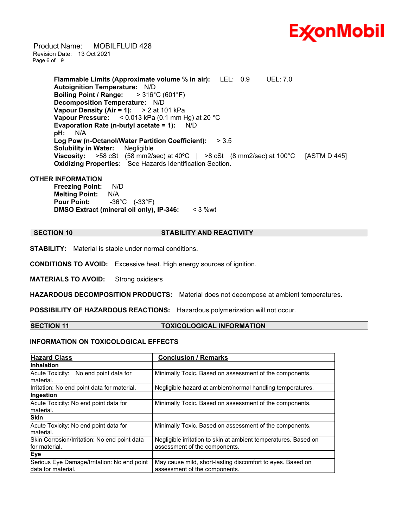

 Product Name: MOBILFLUID 428 Revision Date: 13 Oct 2021 Page 6 of 9

> **Flammable Limits (Approximate volume % in air):** LEL: 0.9 UEL: 7.0 **Autoignition Temperature:** N/D **Boiling Point / Range:** > 316°C (601°F) **Decomposition Temperature:** N/D **Vapour Density (Air = 1):** > 2 at 101 kPa **Vapour Pressure:** < 0.013 kPa (0.1 mm Hg) at 20 °C **Evaporation Rate (n-butyl acetate = 1):** N/D **pH:** N/A **Log Pow (n-Octanol/Water Partition Coefficient):** > 3.5 **Solubility in Water:** Negligible **Viscosity:** >58 cSt (58 mm2/sec) at 40ºC | >8 cSt (8 mm2/sec) at 100°C [ASTM D 445] **Oxidizing Properties:** See Hazards Identification Section.

\_\_\_\_\_\_\_\_\_\_\_\_\_\_\_\_\_\_\_\_\_\_\_\_\_\_\_\_\_\_\_\_\_\_\_\_\_\_\_\_\_\_\_\_\_\_\_\_\_\_\_\_\_\_\_\_\_\_\_\_\_\_\_\_\_\_\_\_\_\_\_\_\_\_\_\_\_\_\_\_\_\_\_\_\_\_\_\_\_\_\_\_\_\_\_\_\_\_\_\_\_\_\_\_\_\_\_\_\_\_\_\_\_\_\_\_\_\_

#### **OTHER INFORMATION**

**Freezing Point:** N/D **Melting Point:** N/A **Pour Point:** -36°C (-33°F) **DMSO Extract (mineral oil only), IP-346:** < 3 %wt

# **SECTION 10 STABILITY AND REACTIVITY**

**STABILITY:** Material is stable under normal conditions.

**CONDITIONS TO AVOID:** Excessive heat. High energy sources of ignition.

**MATERIALS TO AVOID:** Strong oxidisers

**HAZARDOUS DECOMPOSITION PRODUCTS:** Material does not decompose at ambient temperatures.

**POSSIBILITY OF HAZARDOUS REACTIONS:** Hazardous polymerization will not occur.

# **SECTION 11 TOXICOLOGICAL INFORMATION**

# **INFORMATION ON TOXICOLOGICAL EFFECTS**

| <b>Hazard Class</b>                                                | <b>Conclusion / Remarks</b>                                                                      |
|--------------------------------------------------------------------|--------------------------------------------------------------------------------------------------|
| <b>Inhalation</b>                                                  |                                                                                                  |
| Acute Toxicity: No end point data for<br>material.                 | Minimally Toxic. Based on assessment of the components.                                          |
| Irritation: No end point data for material.                        | Negligible hazard at ambient/normal handling temperatures.                                       |
| Ingestion                                                          |                                                                                                  |
| Acute Toxicity: No end point data for<br>material.                 | Minimally Toxic. Based on assessment of the components.                                          |
| <b>Skin</b>                                                        |                                                                                                  |
| Acute Toxicity: No end point data for<br>material.                 | Minimally Toxic. Based on assessment of the components.                                          |
| Skin Corrosion/Irritation: No end point data<br>for material.      | Negligible irritation to skin at ambient temperatures. Based on<br>assessment of the components. |
| Eye                                                                |                                                                                                  |
| Serious Eye Damage/Irritation: No end point<br>Idata for material. | May cause mild, short-lasting discomfort to eyes. Based on<br>assessment of the components.      |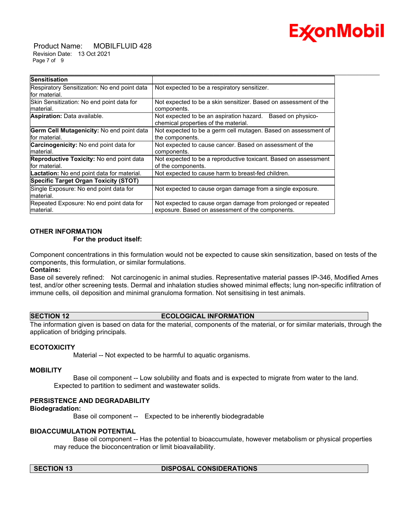

 Product Name: MOBILFLUID 428 Revision Date: 13 Oct 2021 Page 7 of 9

| <b>Sensitisation</b>                                              |                                                                                                                   |
|-------------------------------------------------------------------|-------------------------------------------------------------------------------------------------------------------|
| Respiratory Sensitization: No end point data<br>for material.     | Not expected to be a respiratory sensitizer.                                                                      |
| Skin Sensitization: No end point data for<br>material.            | Not expected to be a skin sensitizer. Based on assessment of the<br>components.                                   |
| Aspiration: Data available.                                       | Not expected to be an aspiration hazard. Based on physico-<br>chemical properties of the material.                |
| Germ Cell Mutagenicity: No end point data<br>for material.        | Not expected to be a germ cell mutagen. Based on assessment of<br>the components.                                 |
| Carcinogenicity: No end point data for<br>material.               | Not expected to cause cancer. Based on assessment of the<br>components.                                           |
| <b>Reproductive Toxicity:</b> No end point data<br>lfor material. | Not expected to be a reproductive toxicant. Based on assessment<br>of the components.                             |
| Lactation: No end point data for material.                        | Not expected to cause harm to breast-fed children.                                                                |
| <b>Specific Target Organ Toxicity (STOT)</b>                      |                                                                                                                   |
| Single Exposure: No end point data for<br>material.               | Not expected to cause organ damage from a single exposure.                                                        |
| Repeated Exposure: No end point data for<br>material.             | Not expected to cause organ damage from prolonged or repeated<br>exposure. Based on assessment of the components. |

# **OTHER INFORMATION**

# **For the product itself:**

Component concentrations in this formulation would not be expected to cause skin sensitization, based on tests of the components, this formulation, or similar formulations.

# **Contains:**

Base oil severely refined: Not carcinogenic in animal studies. Representative material passes IP-346, Modified Ames test, and/or other screening tests. Dermal and inhalation studies showed minimal effects; lung non-specific infiltration of immune cells, oil deposition and minimal granuloma formation. Not sensitising in test animals.

# **SECTION 12 ECOLOGICAL INFORMATION**

The information given is based on data for the material, components of the material, or for similar materials, through the application of bridging principals.

# **ECOTOXICITY**

Material -- Not expected to be harmful to aquatic organisms.

#### **MOBILITY**

 Base oil component -- Low solubility and floats and is expected to migrate from water to the land. Expected to partition to sediment and wastewater solids.

# **PERSISTENCE AND DEGRADABILITY**

#### **Biodegradation:**

Base oil component -- Expected to be inherently biodegradable

### **BIOACCUMULATION POTENTIAL**

 Base oil component -- Has the potential to bioaccumulate, however metabolism or physical properties may reduce the bioconcentration or limit bioavailability.

### **SECTION 13 DISPOSAL CONSIDERATIONS**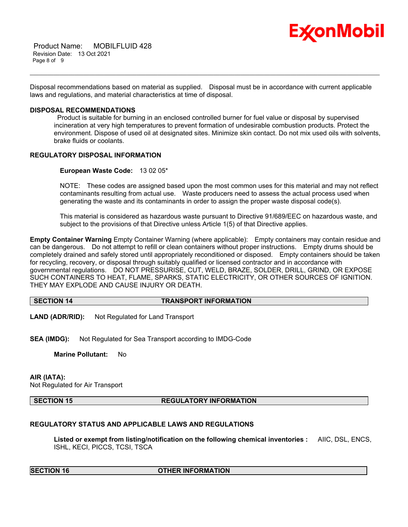

 Product Name: MOBILFLUID 428 Revision Date: 13 Oct 2021 Page 8 of 9

Disposal recommendations based on material as supplied. Disposal must be in accordance with current applicable laws and regulations, and material characteristics at time of disposal.

\_\_\_\_\_\_\_\_\_\_\_\_\_\_\_\_\_\_\_\_\_\_\_\_\_\_\_\_\_\_\_\_\_\_\_\_\_\_\_\_\_\_\_\_\_\_\_\_\_\_\_\_\_\_\_\_\_\_\_\_\_\_\_\_\_\_\_\_\_\_\_\_\_\_\_\_\_\_\_\_\_\_\_\_\_\_\_\_\_\_\_\_\_\_\_\_\_\_\_\_\_\_\_\_\_\_\_\_\_\_\_\_\_\_\_\_\_\_

### **DISPOSAL RECOMMENDATIONS**

Product is suitable for burning in an enclosed controlled burner for fuel value or disposal by supervised incineration at very high temperatures to prevent formation of undesirable combustion products. Protect the environment. Dispose of used oil at designated sites. Minimize skin contact. Do not mix used oils with solvents, brake fluids or coolants.

# **REGULATORY DISPOSAL INFORMATION**

### **European Waste Code:** 13 02 05\*

NOTE: These codes are assigned based upon the most common uses for this material and may not reflect contaminants resulting from actual use. Waste producers need to assess the actual process used when generating the waste and its contaminants in order to assign the proper waste disposal code(s).

This material is considered as hazardous waste pursuant to Directive 91/689/EEC on hazardous waste, and subject to the provisions of that Directive unless Article 1(5) of that Directive applies.

**Empty Container Warning** Empty Container Warning (where applicable): Empty containers may contain residue and can be dangerous. Do not attempt to refill or clean containers without proper instructions. Empty drums should be completely drained and safely stored until appropriately reconditioned or disposed. Empty containers should be taken for recycling, recovery, or disposal through suitably qualified or licensed contractor and in accordance with governmental regulations. DO NOT PRESSURISE, CUT, WELD, BRAZE, SOLDER, DRILL, GRIND, OR EXPOSE SUCH CONTAINERS TO HEAT, FLAME, SPARKS, STATIC ELECTRICITY, OR OTHER SOURCES OF IGNITION. THEY MAY EXPLODE AND CAUSE INJURY OR DEATH.

# **SECTION 14 TRANSPORT INFORMATION**

**LAND (ADR/RID):** Not Regulated for Land Transport

**SEA (IMDG):** Not Regulated for Sea Transport according to IMDG-Code

**Marine Pollutant:** No

#### **AIR (IATA):**

Not Regulated for Air Transport

#### **SECTION 15 REGULATORY INFORMATION**

# **REGULATORY STATUS AND APPLICABLE LAWS AND REGULATIONS**

**Listed or exempt from listing/notification on the following chemical inventories :** AIIC, DSL, ENCS, ISHL, KECI, PICCS, TCSI, TSCA

#### **SECTION 16 OTHER INFORMATION**